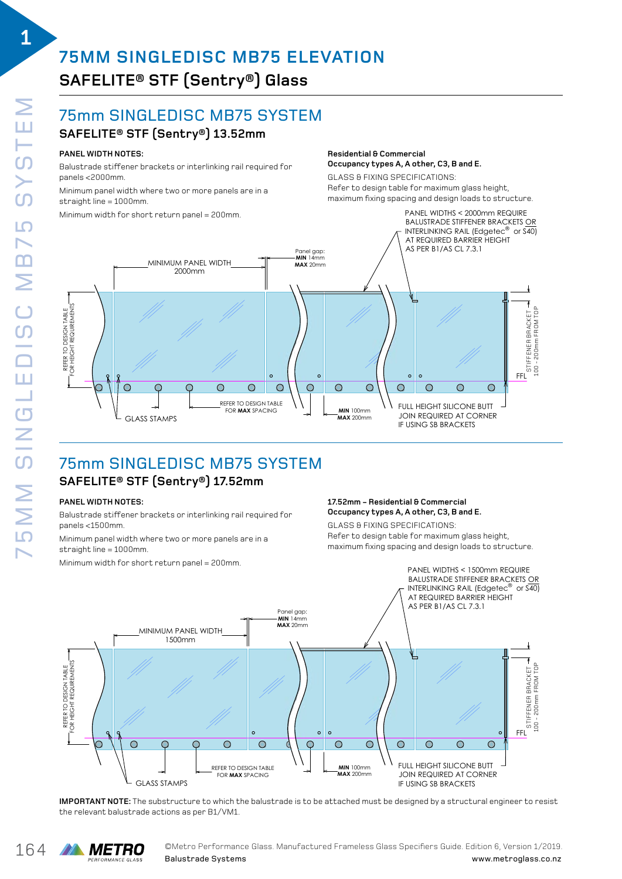**1**

# **75MM SINGLEDISC MB75 ELEVATION SAFELITE® STF (Sentry®) Glass**  SINGLE DISC MB75 BALUSTRADE SYSTEM

#### 75mm SINGLEDISC MB75 SYSTEM  $\mathbf{E} = \mathbf{E} \cdot \mathbf{E} = \mathbf{E} \cdot \mathbf{E}$ SC MB75 SYSTEM

# $\mathsf{SAFELITE}^{\circledast}\mathsf{STF}\left(\mathsf{Sentry}^{\circledast}\right)\mathsf{13.52mm}$

### **PANEL WIDTH NOTES:**

Balustrade stiffener brackets or interlinking rail required for panels <2000mm.

Minimum panel width where two or more panels are in a  $straight line = 1000mm$ 

serargne ime = 1000mm.<br>Minimum width for short return panel = 200mm. a straight line = 1000mm. **PANEL WIDTH NOTES:** imum width for short return panel = 200mm.

#### **Residential & Commercial** Occupancy types A, A other, C3, B and E.

**GLASS & FIXING SPECIFICATIONS:** ucass a rixinu specirications.<br>Refer to design table for maximum glass height, maximum fixing spacing and design loads to structure. al en co designi cable i on maximu

PANEL WIDTHS < 2000mm REQUIRE



### 75mm SINGLEDISC MB75 SYSTEM SINGLE DISC MB75 SYSTEM  $\mathsf{SAFELITE}^{\circledast}\mathsf{STF}\left(\mathsf{Sentry}^{\circledast}\right)\mathsf{17.52mm}$

### **PANEL WIDTH NOTES:**

Balustrade stiffener brackets or interlinking rail required for SAFELITE STF 17.52mm panels <1500mm.

.<br>Minimum panel width where two or more panels are in a straight line = 1000mm. imum panel widtr

Minimum width for short return panel = 200mm. imum width for short return panel = 200mm. $\,$ 

#### **17.52mm - Residential & Commercial** Refer to design table for maximum glass height, Occupancy types A, A other, C3, B and E. remaxim fixture.<br>**Parameter design loadstructure.**<br>International extra and allemaxime.

GLASS & FIXING SPECIFICATIONS: Refer to design table for maximum glass height, maximum fixing spacing and design loads to structure. Band doorgh roddo to oth dotar o.

JOIN REQUIRED AT CORNER



IMPORTANT NOTE: The substructure to which the balustrade is to be attached must be designed by a structural engineer to resist the relevant balustrade actions as per B1/VM1. s to which the balastrade is to be actualled mast be acsigned by a stri

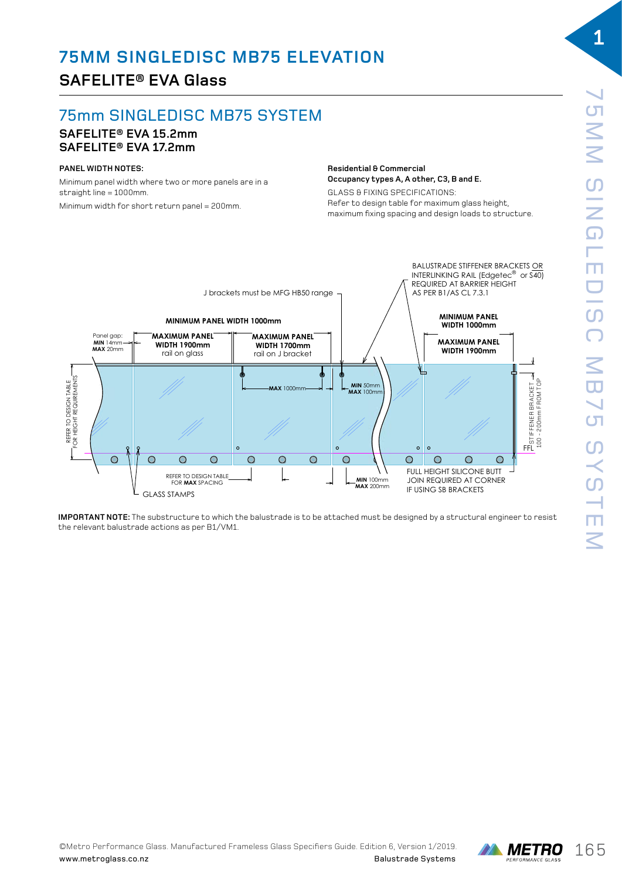# **SAFELITE® EVA Glass**

# 75mm SINGLEDISC MB75 SYSTEM

#### **SAFELITE® EVA 15.2mm SAFELITE® EVA 17.2mm** single disc matrix balustrade systems and the systems of the systems of the systems of the systems of the systems of the systems of the systems of the systems of the systems of the systems of the systems of the systems of

#### **PANEL WIDTH NOTES:**

Minimum panel width where two or more panels are in a  $straight$  line = 1000mm. Minimum width for short return panel = 200mm.

#### **Residential & Commercial Occupancy types A, A other, C3, B and E.** ELEVATION DRAWING 02

GLASS & FIXING SPECIFICATIONS: **Residential & commercial OCCUPATE FORMAL PRESSURITY CONTROL** maximum fixing spacing and design loads to structure.



**IMPORTANT NOTE:** The substructure to which the balustrade is to be attached must be designed by a structural engineer to resist the relevant balustrade actions as per B1/VM1.

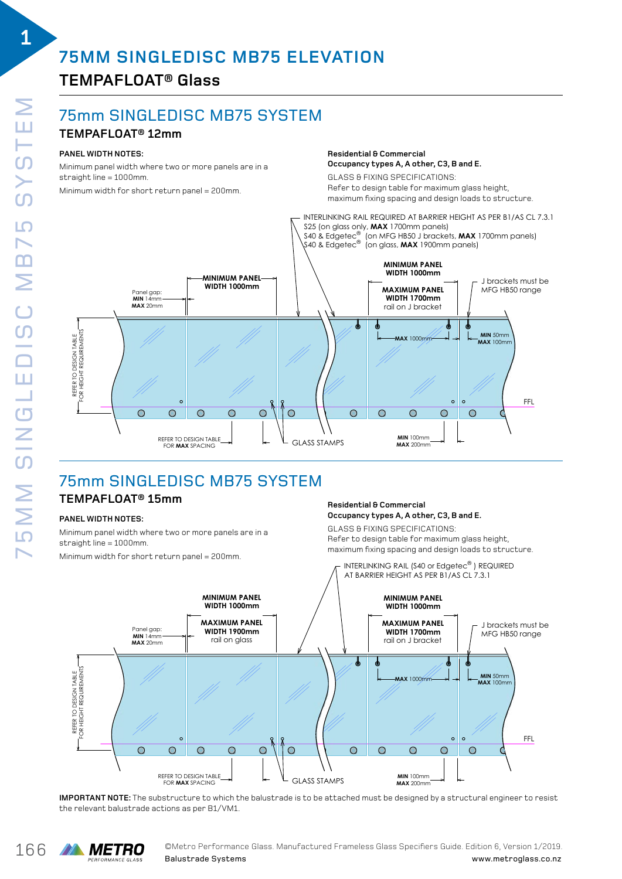# **TEMPAFLOAT® Glass**

### 75mm SINGLEDISC MB75 SYSTEM SINGLE DISTURBANCE SYSTEMS

### **TEMPAFLOAT® 12mm**

### **PANEL WIDTH NOTES:**

Minimum panel width where two or more panels are in a nmmmum punct much mich clinic or more<br>straight line = 1000mm.

m<br>Minimum width for short return panel = 200mm.



GLASS & FIXING SPECIFICATIONS: GLASS & FIXING SPECIFICATIONS: **Occupancy types A, A other, C3, B and E.** Refer to design table for maximum glass height, maximum fixing spacing and design loads to structure.

**MIN** 50mm

J brackets must be MFG HB50 range

FFL



#### **TEMPAFLOAT® 15mm** SINGLE DISC MB75 SYSTEM AFLUAI® 15MM

### **PANEL WIDTH NOTES:**

Minimum panel width where two or more panels are in a straight line = 1000mm.

maximum tixing spacing and design loads to struc<br>Minimum width for short return panel = 200mm. Interval are interval wideo paralysing are interval are interval an widen for short recu

#### **Residential & Commercial Occupancy types A, A other, C3, B and E.** Occupancy types A, A other, C3, B and E.

 $\odot$ 

GLASS & FIXING SPECIFICATIONS: Refer to design table for maximum glass height, maximum fixing spacing and design loads to structure.  $R_{\text{pump}}$  of  $R_{\text{pump}}$  is designed to design the  $L$ 

 $\circ$ 

 $\odot$ 

 $\odot$ 



**IMPORTANT NOTE:** The substructure to which the balustrade is to be attached must be designed by a structural engineer to resist<br>the selevant halustrade estime as ana P1 () (M1 the relevant balustrade actions as per B1/VM1.  $\frac{1}{\sqrt{2}}$  vivil.

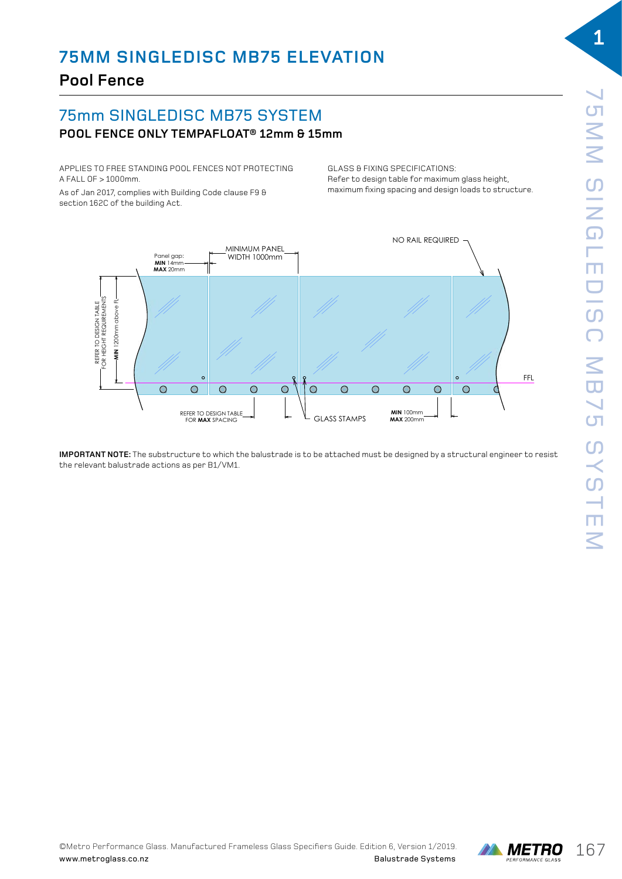# **Pool Fence**

# 75mm SINGLEDISC MB75 SYSTEM **POOL FENCE ONLY TEMPAFLOAT® 12mm & 15mm**

APPLIES TO FREE STANDING POOL FENCES NOT PROTECTING A FALL OF > 1000mm.

As of Jan 2017, complies with Building Code clause F9  $\theta$ section 162C of the building Act.

GLASS & FIXING SPECIFICATIONS: Refer to design table for maximum glass height, maximum fixing spacing and design loads to structure. S & FIXING SPECIFICATIONS.



SINGLE DISC MB75 BALUSTRADE SYSTEM

**IMPORTANT NOTE:** The substructure to which the balustrade is to be attached must be designed by a structural engineer to resist ..... Unimediate actions as per B1/VM1.<br>the relevant balustrade actions as per B1/VM1.  $\frac{1}{\sqrt{2}}$  vivil.

![](_page_3_Picture_10.jpeg)